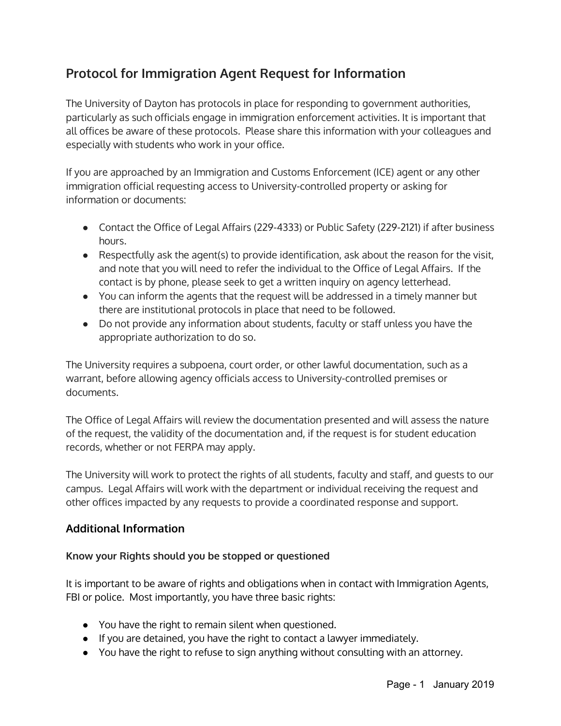## **Protocol for Immigration Agent Request for Information**

The University of Dayton has protocols in place for responding to government authorities, particularly as such officials engage in immigration enforcement activities. It is important that all offices be aware of these protocols. Please share this information with your colleagues and especially with students who work in your office.

If you are approached by an Immigration and Customs Enforcement (ICE) agent or any other immigration official requesting access to University-controlled property or asking for information or documents:

- Contact the Office of Legal Affairs (229-4333) or Public Safety (229-2121) if after business hours.
- Respectfully ask the agent(s) to provide identification, ask about the reason for the visit, and note that you will need to refer the individual to the Office of Legal Affairs. If the contact is by phone, please seek to get a written inquiry on agency letterhead.
- You can inform the agents that the request will be addressed in a timely manner but there are institutional protocols in place that need to be followed.
- Do not provide any information about students, faculty or staff unless you have the appropriate authorization to do so.

The University requires a subpoena, court order, or other lawful documentation, such as a warrant, before allowing agency officials access to University-controlled premises or documents.

The Office of Legal Affairs will review the documentation presented and will assess the nature of the request, the validity of the documentation and, if the request is for student education records, whether or not FERPA may apply.

The University will work to protect the rights of all students, faculty and staff, and guests to our campus. Legal Affairs will work with the department or individual receiving the request and other offices impacted by any requests to provide a coordinated response and support.

## **Additional Information**

## **Know your Rights should you be stopped or questioned**

It is important to be aware of rights and obligations when in contact with Immigration Agents, FBI or police. Most importantly, you have three basic rights:

- *●* You have the right to remain silent when questioned.
- If you are detained, you have the right to contact a lawyer immediately.
- You have the right to refuse to sign anything without consulting with an attorney.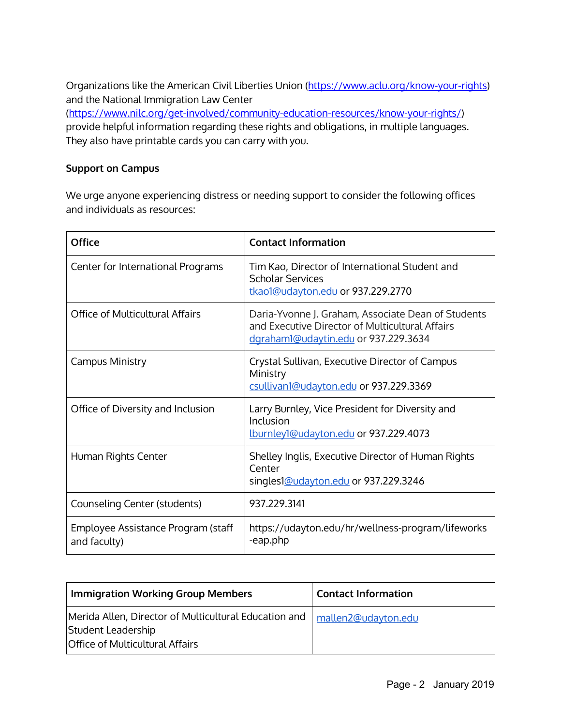Organizations like the American Civil Liberties Union ([https://www.aclu.org/know-your-rights\)](https://www.aclu.org/know-your-rights) and the National Immigration Law Center [\(https://www.nilc.org/get-involved/community-education-resources/know-your-rights/\)](https://www.nilc.org/get-involved/community-education-resources/know-your-rights/) provide helpful information regarding these rights and obligations, in multiple languages. They also have printable cards you can carry with you.

## **Support on Campus**

We urge anyone experiencing distress or needing support to consider the following offices and individuals as resources:

| <b>Office</b>                                      | <b>Contact Information</b>                                                                                                                    |
|----------------------------------------------------|-----------------------------------------------------------------------------------------------------------------------------------------------|
| Center for International Programs                  | Tim Kao, Director of International Student and<br><b>Scholar Services</b><br>tkao1@udayton.edu or 937.229.2770                                |
| Office of Multicultural Affairs                    | Daria-Yvonne J. Graham, Associate Dean of Students<br>and Executive Director of Multicultural Affairs<br>dgraham1@udaytin.edu or 937.229.3634 |
| Campus Ministry                                    | Crystal Sullivan, Executive Director of Campus<br>Ministry<br>csullivan1@udayton.edu or 937.229.3369                                          |
| Office of Diversity and Inclusion                  | Larry Burnley, Vice President for Diversity and<br>Inclusion<br><u>lburnley1@udayton.edu</u> or 937.229.4073                                  |
| Human Rights Center                                | Shelley Inglis, Executive Director of Human Rights<br>Center<br>singles1@udayton.edu or 937.229.3246                                          |
| Counseling Center (students)                       | 937.229.3141                                                                                                                                  |
| Employee Assistance Program (staff<br>and faculty) | https://udayton.edu/hr/wellness-program/lifeworks<br>-eap.php                                                                                 |

| <b>Immigration Working Group Members</b>                                                                              | <b>Contact Information</b> |
|-----------------------------------------------------------------------------------------------------------------------|----------------------------|
| Merida Allen, Director of Multicultural Education and<br>Student Leadership<br><b>Office of Multicultural Affairs</b> | mallen2@udayton.edu        |